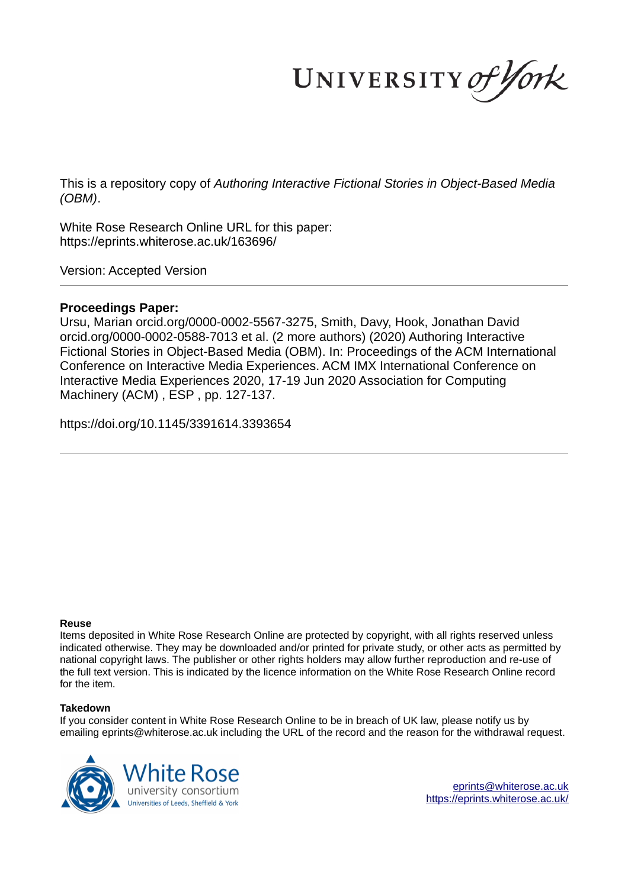UNIVERSITY of York

This is a repository copy of *Authoring Interactive Fictional Stories in Object-Based Media (OBM)*.

White Rose Research Online URL for this paper: https://eprints.whiterose.ac.uk/163696/

Version: Accepted Version

#### **Proceedings Paper:**

Ursu, Marian orcid.org/0000-0002-5567-3275, Smith, Davy, Hook, Jonathan David orcid.org/0000-0002-0588-7013 et al. (2 more authors) (2020) Authoring Interactive Fictional Stories in Object-Based Media (OBM). In: Proceedings of the ACM International Conference on Interactive Media Experiences. ACM IMX International Conference on Interactive Media Experiences 2020, 17-19 Jun 2020 Association for Computing Machinery (ACM) , ESP , pp. 127-137.

https://doi.org/10.1145/3391614.3393654

#### **Reuse**

Items deposited in White Rose Research Online are protected by copyright, with all rights reserved unless indicated otherwise. They may be downloaded and/or printed for private study, or other acts as permitted by national copyright laws. The publisher or other rights holders may allow further reproduction and re-use of the full text version. This is indicated by the licence information on the White Rose Research Online record for the item.

#### **Takedown**

If you consider content in White Rose Research Online to be in breach of UK law, please notify us by emailing eprints@whiterose.ac.uk including the URL of the record and the reason for the withdrawal request.



eprints@whiterose.ac.uk https://eprints.whiterose.ac.uk/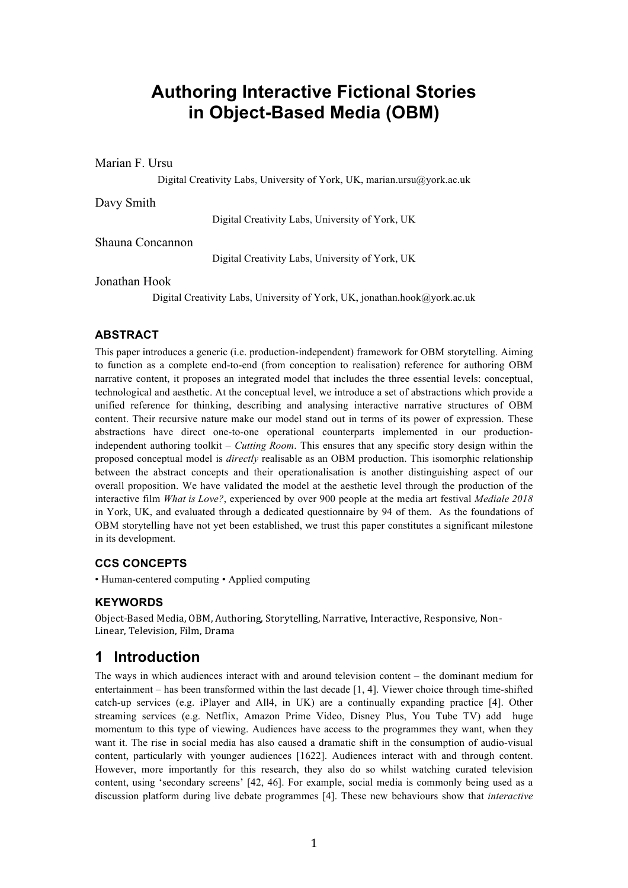# **Authoring Interactive Fictional Stories in Object-Based Media (OBM)**

Marian F. Ursu

Digital Creativity Labs, University of York, UK, marian.ursu@york.ac.uk

Davy Smith

Digital Creativity Labs, University of York, UK

Shauna Concannon

Digital Creativity Labs, University of York, UK

Jonathan Hook

Digital Creativity Labs, University of York, UK, jonathan.hook@york.ac.uk

#### **ABSTRACT**

This paper introduces a generic (i.e. production-independent) framework for OBM storytelling. Aiming to function as a complete end-to-end (from conception to realisation) reference for authoring OBM narrative content, it proposes an integrated model that includes the three essential levels: conceptual, technological and aesthetic. At the conceptual level, we introduce a set of abstractions which provide a unified reference for thinking, describing and analysing interactive narrative structures of OBM content. Their recursive nature make our model stand out in terms of its power of expression. These abstractions have direct one-to-one operational counterparts implemented in our productionindependent authoring toolkit – *Cutting Room*. This ensures that any specific story design within the proposed conceptual model is *directly* realisable as an OBM production. This isomorphic relationship between the abstract concepts and their operationalisation is another distinguishing aspect of our overall proposition. We have validated the model at the aesthetic level through the production of the interactive film *What is Love?*, experienced by over 900 people at the media art festival *Mediale 2018* in York, UK, and evaluated through a dedicated questionnaire by 94 of them. As the foundations of OBM storytelling have not yet been established, we trust this paper constitutes a significant milestone in its development.

#### **CCS CONCEPTS**

• Human-centered computing • Applied computing

#### **KEYWORDS**

Object-Based Media, OBM, Authoring, Storytelling, Narrative, Interactive, Responsive, Non-Linear, Television, Film, Drama

## **1 Introduction**

The ways in which audiences interact with and around television content – the dominant medium for entertainment – has been transformed within the last decade [1, 4]. Viewer choice through time-shifted catch-up services (e.g. iPlayer and All4, in UK) are a continually expanding practice [4]. Other streaming services (e.g. Netflix, Amazon Prime Video, Disney Plus, You Tube TV) add huge momentum to this type of viewing. Audiences have access to the programmes they want, when they want it. The rise in social media has also caused a dramatic shift in the consumption of audio-visual content, particularly with younger audiences [1622]. Audiences interact with and through content. However, more importantly for this research, they also do so whilst watching curated television content, using 'secondary screens' [42, 46]. For example, social media is commonly being used as a discussion platform during live debate programmes [4]. These new behaviours show that *interactive*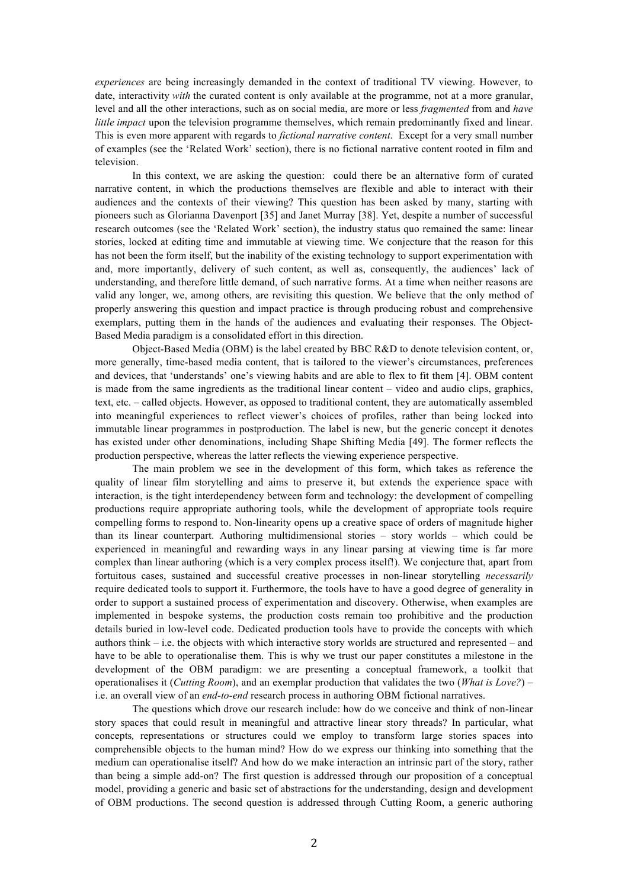*experiences* are being increasingly demanded in the context of traditional TV viewing. However, to date, interactivity *with* the curated content is only available at the programme, not at a more granular, level and all the other interactions, such as on social media, are more or less *fragmented* from and *have little impact* upon the television programme themselves, which remain predominantly fixed and linear. This is even more apparent with regards to *fictional narrative content*. Except for a very small number of examples (see the 'Related Work' section), there is no fictional narrative content rooted in film and television.

In this context, we are asking the question: could there be an alternative form of curated narrative content, in which the productions themselves are flexible and able to interact with their audiences and the contexts of their viewing? This question has been asked by many, starting with pioneers such as Glorianna Davenport [35] and Janet Murray [38]. Yet, despite a number of successful research outcomes (see the 'Related Work' section), the industry status quo remained the same: linear stories, locked at editing time and immutable at viewing time. We conjecture that the reason for this has not been the form itself, but the inability of the existing technology to support experimentation with and, more importantly, delivery of such content, as well as, consequently, the audiences' lack of understanding, and therefore little demand, of such narrative forms. At a time when neither reasons are valid any longer, we, among others, are revisiting this question. We believe that the only method of properly answering this question and impact practice is through producing robust and comprehensive exemplars, putting them in the hands of the audiences and evaluating their responses. The Object-Based Media paradigm is a consolidated effort in this direction.

Object-Based Media (OBM) is the label created by BBC R&D to denote television content, or, more generally, time-based media content, that is tailored to the viewer's circumstances, preferences and devices, that 'understands' one's viewing habits and are able to flex to fit them [4]. OBM content is made from the same ingredients as the traditional linear content – video and audio clips, graphics, text, etc. – called objects. However, as opposed to traditional content, they are automatically assembled into meaningful experiences to reflect viewer's choices of profiles, rather than being locked into immutable linear programmes in postproduction. The label is new, but the generic concept it denotes has existed under other denominations, including Shape Shifting Media [49]. The former reflects the production perspective, whereas the latter reflects the viewing experience perspective.

The main problem we see in the development of this form, which takes as reference the quality of linear film storytelling and aims to preserve it, but extends the experience space with interaction, is the tight interdependency between form and technology: the development of compelling productions require appropriate authoring tools, while the development of appropriate tools require compelling forms to respond to. Non-linearity opens up a creative space of orders of magnitude higher than its linear counterpart. Authoring multidimensional stories – story worlds – which could be experienced in meaningful and rewarding ways in any linear parsing at viewing time is far more complex than linear authoring (which is a very complex process itself!). We conjecture that, apart from fortuitous cases, sustained and successful creative processes in non-linear storytelling *necessarily* require dedicated tools to support it. Furthermore, the tools have to have a good degree of generality in order to support a sustained process of experimentation and discovery. Otherwise, when examples are implemented in bespoke systems, the production costs remain too prohibitive and the production details buried in low-level code. Dedicated production tools have to provide the concepts with which authors think – i.e. the objects with which interactive story worlds are structured and represented – and have to be able to operationalise them. This is why we trust our paper constitutes a milestone in the development of the OBM paradigm: we are presenting a conceptual framework, a toolkit that operationalises it (*Cutting Room*), and an exemplar production that validates the two (*What is Love?*) – i.e. an overall view of an *end-to-end* research process in authoring OBM fictional narratives.

The questions which drove our research include: how do we conceive and think of non-linear story spaces that could result in meaningful and attractive linear story threads? In particular, what concepts*,* representations or structures could we employ to transform large stories spaces into comprehensible objects to the human mind? How do we express our thinking into something that the medium can operationalise itself? And how do we make interaction an intrinsic part of the story, rather than being a simple add-on? The first question is addressed through our proposition of a conceptual model, providing a generic and basic set of abstractions for the understanding, design and development of OBM productions. The second question is addressed through Cutting Room, a generic authoring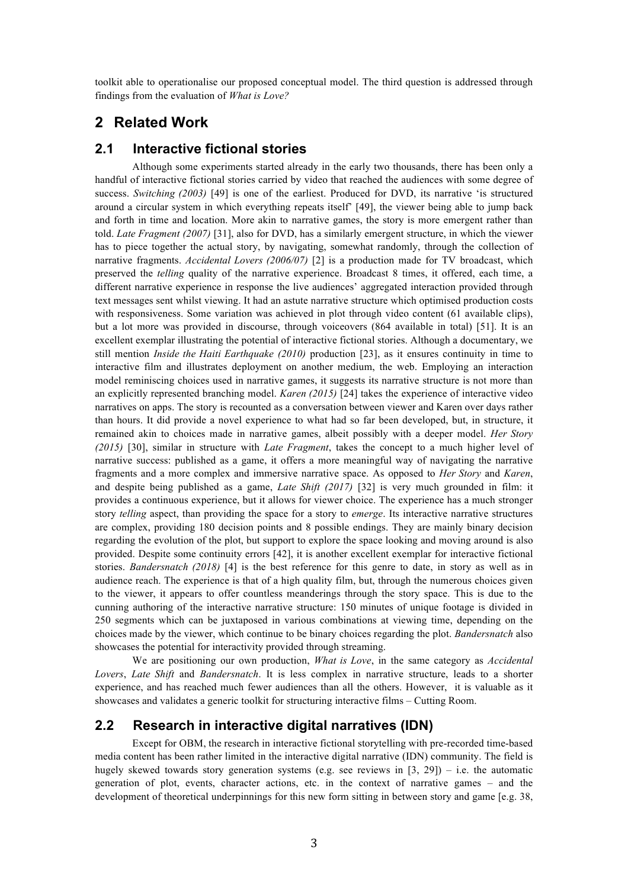toolkit able to operationalise our proposed conceptual model. The third question is addressed through findings from the evaluation of *What is Love?*

### **2 Related Work**

#### **2.1 Interactive fictional stories**

Although some experiments started already in the early two thousands, there has been only a handful of interactive fictional stories carried by video that reached the audiences with some degree of success. *Switching (2003)* [49] is one of the earliest. Produced for DVD, its narrative 'is structured around a circular system in which everything repeats itself' [49], the viewer being able to jump back and forth in time and location. More akin to narrative games, the story is more emergent rather than told. *Late Fragment (2007)* [31], also for DVD, has a similarly emergent structure, in which the viewer has to piece together the actual story, by navigating, somewhat randomly, through the collection of narrative fragments. *Accidental Lovers (2006/07)* [2] is a production made for TV broadcast, which preserved the *telling* quality of the narrative experience. Broadcast 8 times, it offered, each time, a different narrative experience in response the live audiences' aggregated interaction provided through text messages sent whilst viewing. It had an astute narrative structure which optimised production costs with responsiveness. Some variation was achieved in plot through video content (61 available clips), but a lot more was provided in discourse, through voiceovers (864 available in total) [51]. It is an excellent exemplar illustrating the potential of interactive fictional stories. Although a documentary, we still mention *Inside the Haiti Earthquake (2010)* production [23], as it ensures continuity in time to interactive film and illustrates deployment on another medium, the web. Employing an interaction model reminiscing choices used in narrative games, it suggests its narrative structure is not more than an explicitly represented branching model. *Karen (2015)* [24] takes the experience of interactive video narratives on apps. The story is recounted as a conversation between viewer and Karen over days rather than hours. It did provide a novel experience to what had so far been developed, but, in structure, it remained akin to choices made in narrative games, albeit possibly with a deeper model. *Her Story (2015)* [30], similar in structure with *Late Fragment*, takes the concept to a much higher level of narrative success: published as a game, it offers a more meaningful way of navigating the narrative fragments and a more complex and immersive narrative space. As opposed to *Her Story* and *Karen*, and despite being published as a game, *Late Shift (2017)* [32] is very much grounded in film: it provides a continuous experience, but it allows for viewer choice. The experience has a much stronger story *telling* aspect, than providing the space for a story to *emerge*. Its interactive narrative structures are complex, providing 180 decision points and 8 possible endings. They are mainly binary decision regarding the evolution of the plot, but support to explore the space looking and moving around is also provided. Despite some continuity errors [42], it is another excellent exemplar for interactive fictional stories. *Bandersnatch (2018)* [4] is the best reference for this genre to date, in story as well as in audience reach. The experience is that of a high quality film, but, through the numerous choices given to the viewer, it appears to offer countless meanderings through the story space. This is due to the cunning authoring of the interactive narrative structure: 150 minutes of unique footage is divided in 250 segments which can be juxtaposed in various combinations at viewing time, depending on the choices made by the viewer, which continue to be binary choices regarding the plot. *Bandersnatch* also showcases the potential for interactivity provided through streaming.

We are positioning our own production, *What is Love*, in the same category as *Accidental Lovers*, *Late Shift* and *Bandersnatch*. It is less complex in narrative structure, leads to a shorter experience, and has reached much fewer audiences than all the others. However, it is valuable as it showcases and validates a generic toolkit for structuring interactive films – Cutting Room.

#### **2.2 Research in interactive digital narratives (IDN)**

Except for OBM, the research in interactive fictional storytelling with pre-recorded time-based media content has been rather limited in the interactive digital narrative (IDN) community. The field is hugely skewed towards story generation systems (e.g. see reviews in  $[3, 29]$ ) – i.e. the automatic generation of plot, events, character actions, etc. in the context of narrative games – and the development of theoretical underpinnings for this new form sitting in between story and game [e.g. 38,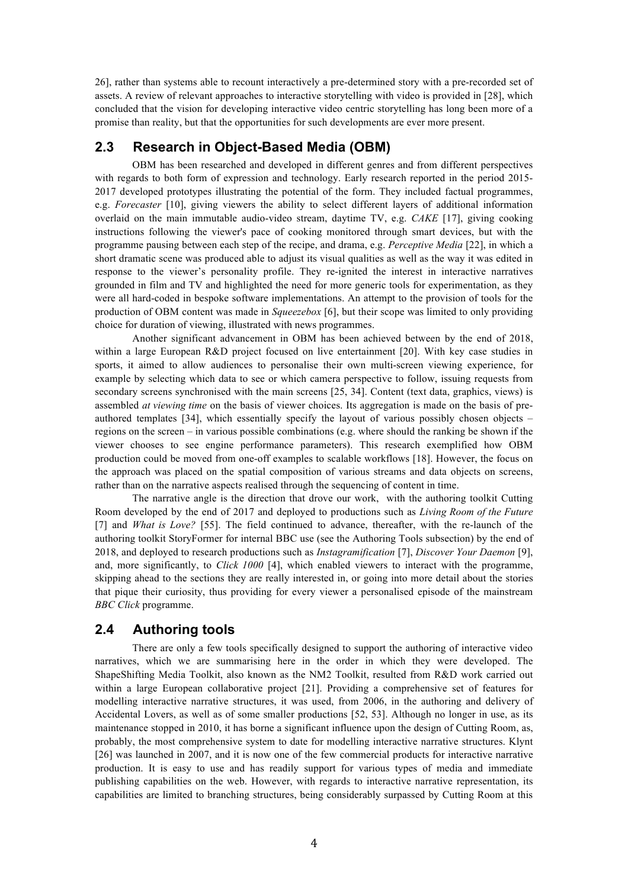26], rather than systems able to recount interactively a pre-determined story with a pre-recorded set of assets. A review of relevant approaches to interactive storytelling with video is provided in [28], which concluded that the vision for developing interactive video centric storytelling has long been more of a promise than reality, but that the opportunities for such developments are ever more present.

### **2.3 Research in Object-Based Media (OBM)**

OBM has been researched and developed in different genres and from different perspectives with regards to both form of expression and technology. Early research reported in the period 2015-2017 developed prototypes illustrating the potential of the form. They included factual programmes, e.g. *Forecaster* [10], giving viewers the ability to select different layers of additional information overlaid on the main immutable audio-video stream, daytime TV, e.g. *CAKE* [17], giving cooking instructions following the viewer's pace of cooking monitored through smart devices, but with the programme pausing between each step of the recipe, and drama, e.g. *Perceptive Media* [22], in which a short dramatic scene was produced able to adjust its visual qualities as well as the way it was edited in response to the viewer's personality profile. They re-ignited the interest in interactive narratives grounded in film and TV and highlighted the need for more generic tools for experimentation, as they were all hard-coded in bespoke software implementations. An attempt to the provision of tools for the production of OBM content was made in *Squeezebox* [6], but their scope was limited to only providing choice for duration of viewing, illustrated with news programmes.

Another significant advancement in OBM has been achieved between by the end of 2018, within a large European R&D project focused on live entertainment [20]. With key case studies in sports, it aimed to allow audiences to personalise their own multi-screen viewing experience, for example by selecting which data to see or which camera perspective to follow, issuing requests from secondary screens synchronised with the main screens [25, 34]. Content (text data, graphics, views) is assembled *at viewing time* on the basis of viewer choices. Its aggregation is made on the basis of preauthored templates [34], which essentially specify the layout of various possibly chosen objects – regions on the screen – in various possible combinations (e.g. where should the ranking be shown if the viewer chooses to see engine performance parameters). This research exemplified how OBM production could be moved from one-off examples to scalable workflows [18]. However, the focus on the approach was placed on the spatial composition of various streams and data objects on screens, rather than on the narrative aspects realised through the sequencing of content in time.

The narrative angle is the direction that drove our work, with the authoring toolkit Cutting Room developed by the end of 2017 and deployed to productions such as *Living Room of the Future* [7] and *What is Love?* [55]. The field continued to advance, thereafter, with the re-launch of the authoring toolkit StoryFormer for internal BBC use (see the Authoring Tools subsection) by the end of 2018, and deployed to research productions such as *Instagramification* [7], *Discover Your Daemon* [9], and, more significantly, to *Click 1000* [4], which enabled viewers to interact with the programme, skipping ahead to the sections they are really interested in, or going into more detail about the stories that pique their curiosity, thus providing for every viewer a personalised episode of the mainstream *BBC Click* programme.

#### **2.4 Authoring tools**

There are only a few tools specifically designed to support the authoring of interactive video narratives, which we are summarising here in the order in which they were developed. The ShapeShifting Media Toolkit, also known as the NM2 Toolkit, resulted from R&D work carried out within a large European collaborative project [21]. Providing a comprehensive set of features for modelling interactive narrative structures, it was used, from 2006, in the authoring and delivery of Accidental Lovers, as well as of some smaller productions [52, 53]. Although no longer in use, as its maintenance stopped in 2010, it has borne a significant influence upon the design of Cutting Room, as, probably, the most comprehensive system to date for modelling interactive narrative structures. Klynt [26] was launched in 2007, and it is now one of the few commercial products for interactive narrative production. It is easy to use and has readily support for various types of media and immediate publishing capabilities on the web. However, with regards to interactive narrative representation, its capabilities are limited to branching structures, being considerably surpassed by Cutting Room at this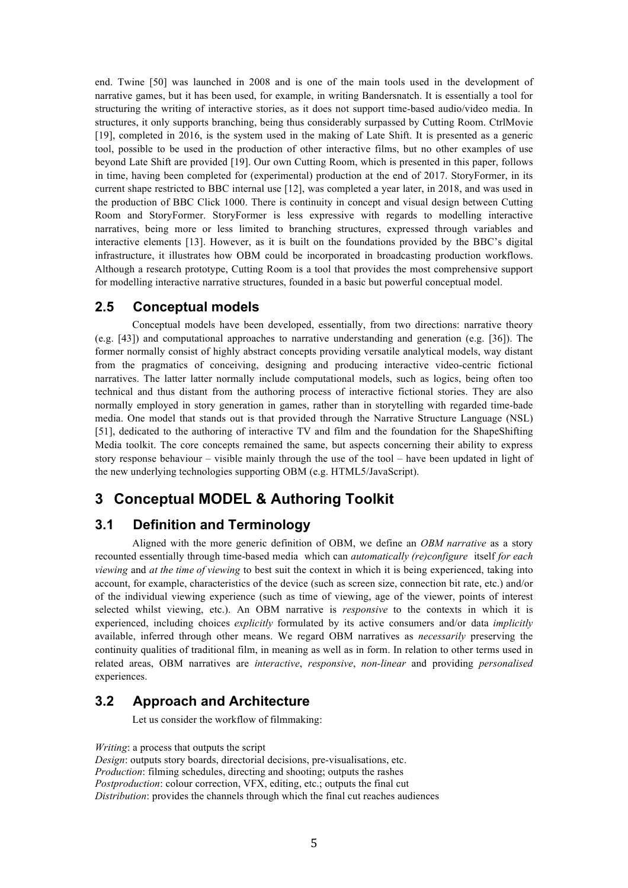end. Twine [50] was launched in 2008 and is one of the main tools used in the development of narrative games, but it has been used, for example, in writing Bandersnatch. It is essentially a tool for structuring the writing of interactive stories, as it does not support time-based audio/video media. In structures, it only supports branching, being thus considerably surpassed by Cutting Room. CtrlMovie [19], completed in 2016, is the system used in the making of Late Shift. It is presented as a generic tool, possible to be used in the production of other interactive films, but no other examples of use beyond Late Shift are provided [19]. Our own Cutting Room, which is presented in this paper, follows in time, having been completed for (experimental) production at the end of 2017. StoryFormer, in its current shape restricted to BBC internal use [12], was completed a year later, in 2018, and was used in the production of BBC Click 1000. There is continuity in concept and visual design between Cutting Room and StoryFormer. StoryFormer is less expressive with regards to modelling interactive narratives, being more or less limited to branching structures, expressed through variables and interactive elements [13]. However, as it is built on the foundations provided by the BBC's digital infrastructure, it illustrates how OBM could be incorporated in broadcasting production workflows. Although a research prototype, Cutting Room is a tool that provides the most comprehensive support for modelling interactive narrative structures, founded in a basic but powerful conceptual model.

### **2.5 Conceptual models**

Conceptual models have been developed, essentially, from two directions: narrative theory (e.g. [43]) and computational approaches to narrative understanding and generation (e.g. [36]). The former normally consist of highly abstract concepts providing versatile analytical models, way distant from the pragmatics of conceiving, designing and producing interactive video-centric fictional narratives. The latter latter normally include computational models, such as logics, being often too technical and thus distant from the authoring process of interactive fictional stories. They are also normally employed in story generation in games, rather than in storytelling with regarded time-bade media. One model that stands out is that provided through the Narrative Structure Language (NSL) [51], dedicated to the authoring of interactive TV and film and the foundation for the ShapeShifting Media toolkit. The core concepts remained the same, but aspects concerning their ability to express story response behaviour – visible mainly through the use of the tool – have been updated in light of the new underlying technologies supporting OBM (e.g. HTML5/JavaScript).

## **3 Conceptual MODEL & Authoring Toolkit**

#### **3.1 Definition and Terminology**

Aligned with the more generic definition of OBM, we define an *OBM narrative* as a story recounted essentially through time-based media which can *automatically (re)configure* itself *for each viewing* and *at the time of viewing* to best suit the context in which it is being experienced, taking into account, for example, characteristics of the device (such as screen size, connection bit rate, etc.) and/or of the individual viewing experience (such as time of viewing, age of the viewer, points of interest selected whilst viewing, etc.). An OBM narrative is *responsive* to the contexts in which it is experienced, including choices *explicitly* formulated by its active consumers and/or data *implicitly*  available, inferred through other means. We regard OBM narratives as *necessarily* preserving the continuity qualities of traditional film, in meaning as well as in form. In relation to other terms used in related areas, OBM narratives are *interactive*, *responsive*, *non-linear* and providing *personalised* experiences.

### **3.2 Approach and Architecture**

Let us consider the workflow of filmmaking:

*Writing*: a process that outputs the script

*Design*: outputs story boards, directorial decisions, pre-visualisations, etc. *Production*: filming schedules, directing and shooting; outputs the rashes *Postproduction*: colour correction, VFX, editing, etc.; outputs the final cut *Distribution*: provides the channels through which the final cut reaches audiences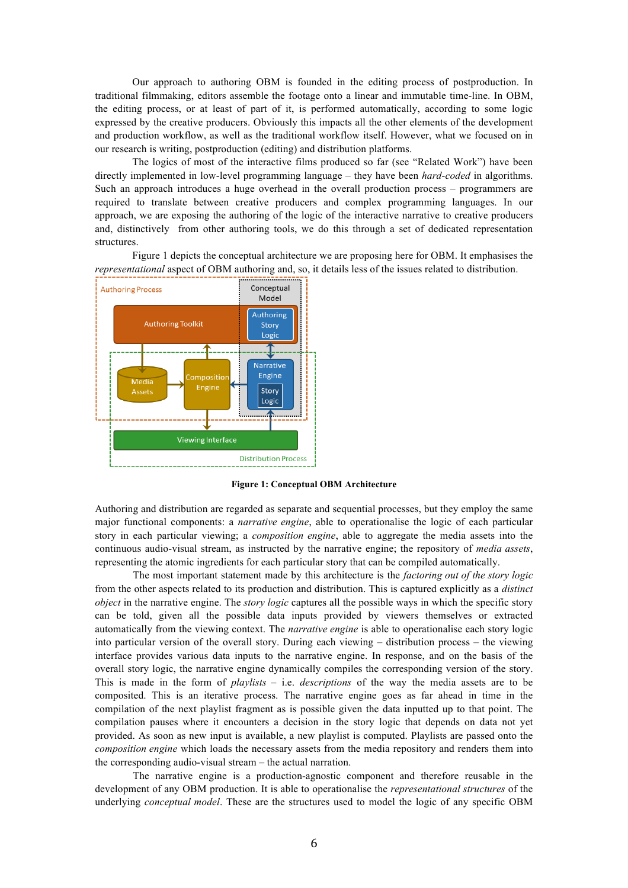Our approach to authoring OBM is founded in the editing process of postproduction. In traditional filmmaking, editors assemble the footage onto a linear and immutable time-line. In OBM, the editing process, or at least of part of it, is performed automatically, according to some logic expressed by the creative producers. Obviously this impacts all the other elements of the development and production workflow, as well as the traditional workflow itself. However, what we focused on in our research is writing, postproduction (editing) and distribution platforms.

The logics of most of the interactive films produced so far (see "Related Work") have been directly implemented in low-level programming language – they have been *hard-coded* in algorithms. Such an approach introduces a huge overhead in the overall production process – programmers are required to translate between creative producers and complex programming languages. In our approach, we are exposing the authoring of the logic of the interactive narrative to creative producers and, distinctively from other authoring tools, we do this through a set of dedicated representation structures.

Figure 1 depicts the conceptual architecture we are proposing here for OBM. It emphasises the *representational* aspect of OBM authoring and, so, it details less of the issues related to distribution.



**Figure 1: Conceptual OBM Architecture**

Authoring and distribution are regarded as separate and sequential processes, but they employ the same major functional components: a *narrative engine*, able to operationalise the logic of each particular story in each particular viewing; a *composition engine*, able to aggregate the media assets into the continuous audio-visual stream, as instructed by the narrative engine; the repository of *media assets*, representing the atomic ingredients for each particular story that can be compiled automatically.

The most important statement made by this architecture is the *factoring out of the story logic* from the other aspects related to its production and distribution. This is captured explicitly as a *distinct object* in the narrative engine. The *story logic* captures all the possible ways in which the specific story can be told, given all the possible data inputs provided by viewers themselves or extracted automatically from the viewing context. The *narrative engine* is able to operationalise each story logic into particular version of the overall story. During each viewing – distribution process – the viewing interface provides various data inputs to the narrative engine. In response, and on the basis of the overall story logic, the narrative engine dynamically compiles the corresponding version of the story. This is made in the form of *playlists* – i.e. *descriptions* of the way the media assets are to be composited. This is an iterative process. The narrative engine goes as far ahead in time in the compilation of the next playlist fragment as is possible given the data inputted up to that point. The compilation pauses where it encounters a decision in the story logic that depends on data not yet provided. As soon as new input is available, a new playlist is computed. Playlists are passed onto the *composition engine* which loads the necessary assets from the media repository and renders them into the corresponding audio-visual stream – the actual narration.

The narrative engine is a production-agnostic component and therefore reusable in the development of any OBM production. It is able to operationalise the *representational structures* of the underlying *conceptual model*. These are the structures used to model the logic of any specific OBM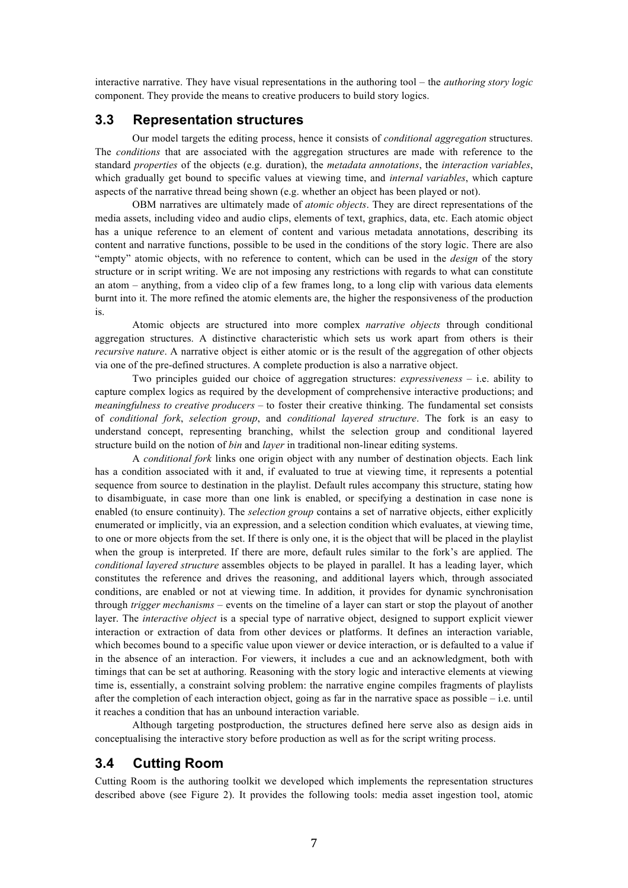interactive narrative. They have visual representations in the authoring tool – the *authoring story logic* component. They provide the means to creative producers to build story logics.

#### **3.3 Representation structures**

Our model targets the editing process, hence it consists of *conditional aggregation* structures. The *conditions* that are associated with the aggregation structures are made with reference to the standard *properties* of the objects (e.g. duration), the *metadata annotations*, the *interaction variables*, which gradually get bound to specific values at viewing time, and *internal variables*, which capture aspects of the narrative thread being shown (e.g. whether an object has been played or not).

OBM narratives are ultimately made of *atomic objects*. They are direct representations of the media assets, including video and audio clips, elements of text, graphics, data, etc. Each atomic object has a unique reference to an element of content and various metadata annotations, describing its content and narrative functions, possible to be used in the conditions of the story logic. There are also "empty" atomic objects, with no reference to content, which can be used in the *design* of the story structure or in script writing. We are not imposing any restrictions with regards to what can constitute an atom – anything, from a video clip of a few frames long, to a long clip with various data elements burnt into it. The more refined the atomic elements are, the higher the responsiveness of the production is.

Atomic objects are structured into more complex *narrative objects* through conditional aggregation structures. A distinctive characteristic which sets us work apart from others is their *recursive nature*. A narrative object is either atomic or is the result of the aggregation of other objects via one of the pre-defined structures. A complete production is also a narrative object.

Two principles guided our choice of aggregation structures: *expressiveness* – i.e. ability to capture complex logics as required by the development of comprehensive interactive productions; and *meaningfulness to creative producers –* to foster their creative thinking. The fundamental set consists of *conditional fork*, *selection group*, and *conditional layered structure*. The fork is an easy to understand concept, representing branching, whilst the selection group and conditional layered structure build on the notion of *bin* and *layer* in traditional non-linear editing systems.

A *conditional fork* links one origin object with any number of destination objects. Each link has a condition associated with it and, if evaluated to true at viewing time, it represents a potential sequence from source to destination in the playlist. Default rules accompany this structure, stating how to disambiguate, in case more than one link is enabled, or specifying a destination in case none is enabled (to ensure continuity). The *selection group* contains a set of narrative objects, either explicitly enumerated or implicitly, via an expression, and a selection condition which evaluates, at viewing time, to one or more objects from the set. If there is only one, it is the object that will be placed in the playlist when the group is interpreted. If there are more, default rules similar to the fork's are applied. The *conditional layered structure* assembles objects to be played in parallel. It has a leading layer, which constitutes the reference and drives the reasoning, and additional layers which, through associated conditions, are enabled or not at viewing time. In addition, it provides for dynamic synchronisation through *trigger mechanisms* – events on the timeline of a layer can start or stop the playout of another layer. The *interactive object* is a special type of narrative object, designed to support explicit viewer interaction or extraction of data from other devices or platforms. It defines an interaction variable, which becomes bound to a specific value upon viewer or device interaction, or is defaulted to a value if in the absence of an interaction. For viewers, it includes a cue and an acknowledgment, both with timings that can be set at authoring. Reasoning with the story logic and interactive elements at viewing time is, essentially, a constraint solving problem: the narrative engine compiles fragments of playlists after the completion of each interaction object, going as far in the narrative space as possible – i.e. until it reaches a condition that has an unbound interaction variable.

Although targeting postproduction, the structures defined here serve also as design aids in conceptualising the interactive story before production as well as for the script writing process.

### **3.4 Cutting Room**

Cutting Room is the authoring toolkit we developed which implements the representation structures described above (see Figure 2). It provides the following tools: media asset ingestion tool, atomic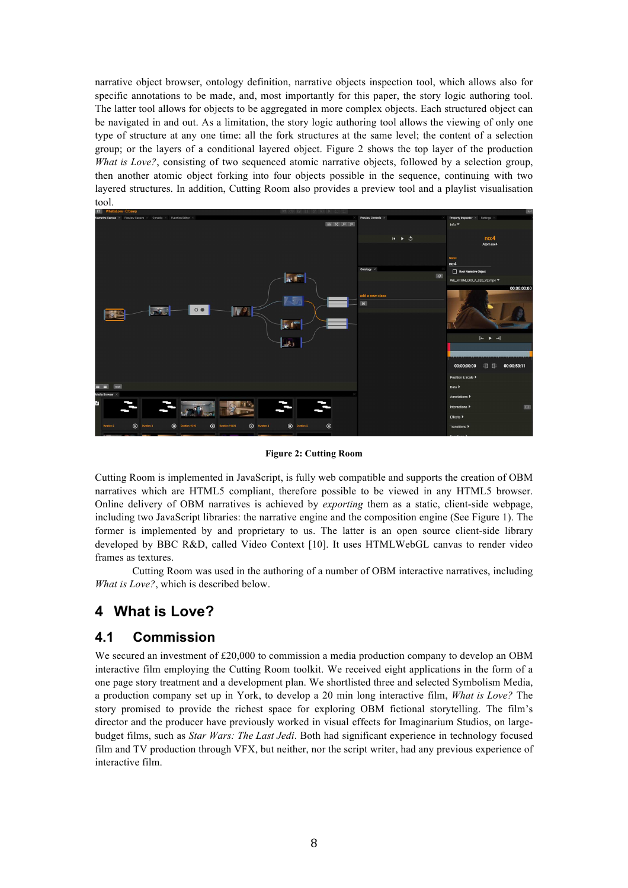narrative object browser, ontology definition, narrative objects inspection tool, which allows also for specific annotations to be made, and, most importantly for this paper, the story logic authoring tool. The latter tool allows for objects to be aggregated in more complex objects. Each structured object can be navigated in and out. As a limitation, the story logic authoring tool allows the viewing of only one type of structure at any one time: all the fork structures at the same level; the content of a selection group; or the layers of a conditional layered object. Figure 2 shows the top layer of the production *What is Love?*, consisting of two sequenced atomic narrative objects, followed by a selection group, then another atomic object forking into four objects possible in the sequence, continuing with two layered structures. In addition, Cutting Room also provides a preview tool and a playlist visualisation tool.



**Figure 2: Cutting Room**

Cutting Room is implemented in JavaScript, is fully web compatible and supports the creation of OBM narratives which are HTML5 compliant, therefore possible to be viewed in any HTML5 browser. Online delivery of OBM narratives is achieved by *exporting* them as a static, client-side webpage, including two JavaScript libraries: the narrative engine and the composition engine (See Figure 1). The former is implemented by and proprietary to us. The latter is an open source client-side library developed by BBC R&D, called Video Context [10]. It uses HTMLWebGL canvas to render video frames as textures.

Cutting Room was used in the authoring of a number of OBM interactive narratives, including *What is Love?*, which is described below.

## **4 What is Love?**

### **4.1 Commission**

We secured an investment of £20,000 to commission a media production company to develop an OBM interactive film employing the Cutting Room toolkit. We received eight applications in the form of a one page story treatment and a development plan. We shortlisted three and selected Symbolism Media, a production company set up in York, to develop a 20 min long interactive film, *What is Love?* The story promised to provide the richest space for exploring OBM fictional storytelling. The film's director and the producer have previously worked in visual effects for Imaginarium Studios, on largebudget films, such as *Star Wars: The Last Jedi*. Both had significant experience in technology focused film and TV production through VFX, but neither, nor the script writer, had any previous experience of interactive film.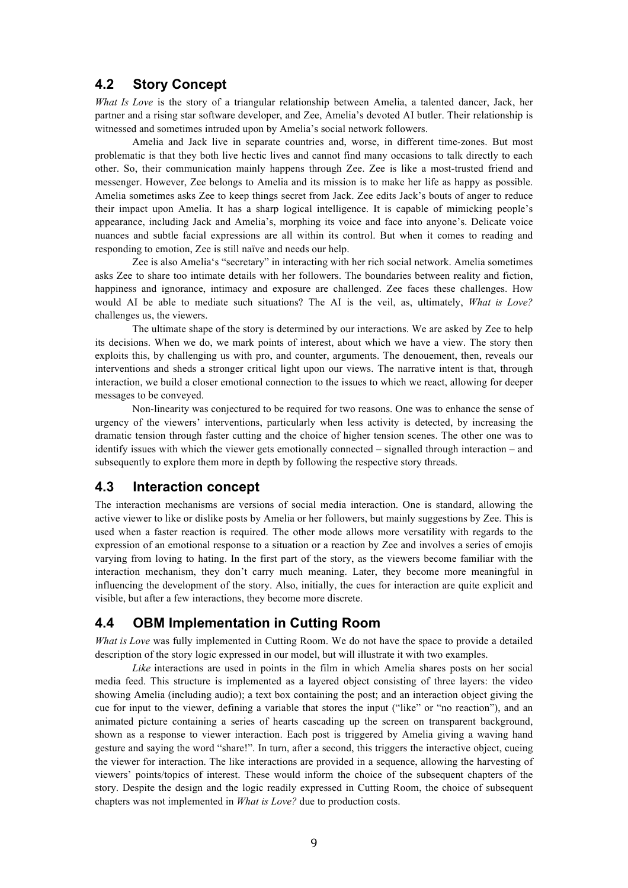#### **4.2 Story Concept**

*What Is Love* is the story of a triangular relationship between Amelia, a talented dancer, Jack, her partner and a rising star software developer, and Zee, Amelia's devoted AI butler. Their relationship is witnessed and sometimes intruded upon by Amelia's social network followers.

Amelia and Jack live in separate countries and, worse, in different time-zones. But most problematic is that they both live hectic lives and cannot find many occasions to talk directly to each other. So, their communication mainly happens through Zee. Zee is like a most-trusted friend and messenger. However, Zee belongs to Amelia and its mission is to make her life as happy as possible. Amelia sometimes asks Zee to keep things secret from Jack. Zee edits Jack's bouts of anger to reduce their impact upon Amelia. It has a sharp logical intelligence. It is capable of mimicking people's appearance, including Jack and Amelia's, morphing its voice and face into anyone's. Delicate voice nuances and subtle facial expressions are all within its control. But when it comes to reading and responding to emotion, Zee is still naïve and needs our help.

Zee is also Amelia's "secretary" in interacting with her rich social network. Amelia sometimes asks Zee to share too intimate details with her followers. The boundaries between reality and fiction, happiness and ignorance, intimacy and exposure are challenged. Zee faces these challenges. How would AI be able to mediate such situations? The AI is the veil, as, ultimately, *What is Love?* challenges us, the viewers.

The ultimate shape of the story is determined by our interactions. We are asked by Zee to help its decisions. When we do, we mark points of interest, about which we have a view. The story then exploits this, by challenging us with pro, and counter, arguments. The denouement, then, reveals our interventions and sheds a stronger critical light upon our views. The narrative intent is that, through interaction, we build a closer emotional connection to the issues to which we react, allowing for deeper messages to be conveyed.

Non-linearity was conjectured to be required for two reasons. One was to enhance the sense of urgency of the viewers' interventions, particularly when less activity is detected, by increasing the dramatic tension through faster cutting and the choice of higher tension scenes. The other one was to identify issues with which the viewer gets emotionally connected – signalled through interaction – and subsequently to explore them more in depth by following the respective story threads.

#### **4.3 Interaction concept**

The interaction mechanisms are versions of social media interaction. One is standard, allowing the active viewer to like or dislike posts by Amelia or her followers, but mainly suggestions by Zee. This is used when a faster reaction is required. The other mode allows more versatility with regards to the expression of an emotional response to a situation or a reaction by Zee and involves a series of emojis varying from loving to hating. In the first part of the story, as the viewers become familiar with the interaction mechanism, they don't carry much meaning. Later, they become more meaningful in influencing the development of the story. Also, initially, the cues for interaction are quite explicit and visible, but after a few interactions, they become more discrete.

### **4.4 OBM Implementation in Cutting Room**

*What is Love* was fully implemented in Cutting Room. We do not have the space to provide a detailed description of the story logic expressed in our model, but will illustrate it with two examples.

*Like* interactions are used in points in the film in which Amelia shares posts on her social media feed. This structure is implemented as a layered object consisting of three layers: the video showing Amelia (including audio); a text box containing the post; and an interaction object giving the cue for input to the viewer, defining a variable that stores the input ("like" or "no reaction"), and an animated picture containing a series of hearts cascading up the screen on transparent background, shown as a response to viewer interaction. Each post is triggered by Amelia giving a waving hand gesture and saying the word "share!". In turn, after a second, this triggers the interactive object, cueing the viewer for interaction. The like interactions are provided in a sequence, allowing the harvesting of viewers' points/topics of interest. These would inform the choice of the subsequent chapters of the story. Despite the design and the logic readily expressed in Cutting Room, the choice of subsequent chapters was not implemented in *What is Love?* due to production costs.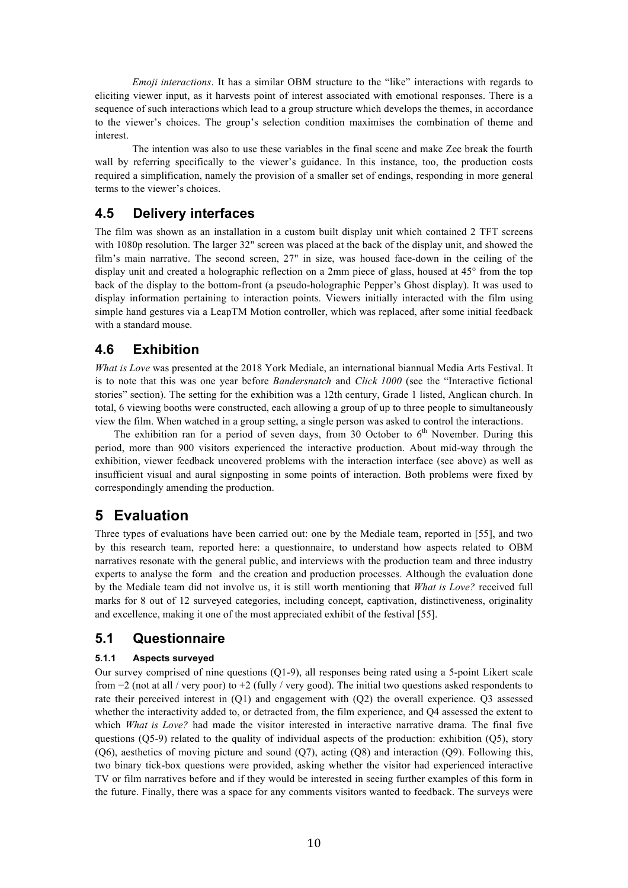*Emoji interactions*. It has a similar OBM structure to the "like" interactions with regards to eliciting viewer input, as it harvests point of interest associated with emotional responses. There is a sequence of such interactions which lead to a group structure which develops the themes, in accordance to the viewer's choices. The group's selection condition maximises the combination of theme and interest.

The intention was also to use these variables in the final scene and make Zee break the fourth wall by referring specifically to the viewer's guidance. In this instance, too, the production costs required a simplification, namely the provision of a smaller set of endings, responding in more general terms to the viewer's choices.

### **4.5 Delivery interfaces**

The film was shown as an installation in a custom built display unit which contained 2 TFT screens with 1080p resolution. The larger 32" screen was placed at the back of the display unit, and showed the film's main narrative. The second screen, 27" in size, was housed face-down in the ceiling of the display unit and created a holographic reflection on a 2mm piece of glass, housed at 45° from the top back of the display to the bottom-front (a pseudo-holographic Pepper's Ghost display). It was used to display information pertaining to interaction points. Viewers initially interacted with the film using simple hand gestures via a LeapTM Motion controller, which was replaced, after some initial feedback with a standard mouse.

### **4.6 Exhibition**

*What is Love* was presented at the 2018 York Mediale, an international biannual Media Arts Festival. It is to note that this was one year before *Bandersnatch* and *Click 1000* (see the "Interactive fictional stories" section). The setting for the exhibition was a 12th century, Grade 1 listed, Anglican church. In total, 6 viewing booths were constructed, each allowing a group of up to three people to simultaneously view the film. When watched in a group setting, a single person was asked to control the interactions.

The exhibition ran for a period of seven days, from 30 October to  $6<sup>th</sup>$  November. During this period, more than 900 visitors experienced the interactive production. About mid-way through the exhibition, viewer feedback uncovered problems with the interaction interface (see above) as well as insufficient visual and aural signposting in some points of interaction. Both problems were fixed by correspondingly amending the production.

## **5 Evaluation**

Three types of evaluations have been carried out: one by the Mediale team, reported in [55], and two by this research team, reported here: a questionnaire, to understand how aspects related to OBM narratives resonate with the general public, and interviews with the production team and three industry experts to analyse the form and the creation and production processes. Although the evaluation done by the Mediale team did not involve us, it is still worth mentioning that *What is Love?* received full marks for 8 out of 12 surveyed categories, including concept, captivation, distinctiveness, originality and excellence, making it one of the most appreciated exhibit of the festival [55].

### **5.1 Questionnaire**

#### **5.1.1 Aspects surveyed**

Our survey comprised of nine questions (Q1-9), all responses being rated using a 5-point Likert scale from −2 (not at all / very poor) to +2 (fully / very good). The initial two questions asked respondents to rate their perceived interest in (Q1) and engagement with (Q2) the overall experience. Q3 assessed whether the interactivity added to, or detracted from, the film experience, and O4 assessed the extent to which *What is Love?* had made the visitor interested in interactive narrative drama. The final five questions (Q5-9) related to the quality of individual aspects of the production: exhibition (Q5), story (Q6), aesthetics of moving picture and sound (Q7), acting (Q8) and interaction (Q9). Following this, two binary tick-box questions were provided, asking whether the visitor had experienced interactive TV or film narratives before and if they would be interested in seeing further examples of this form in the future. Finally, there was a space for any comments visitors wanted to feedback. The surveys were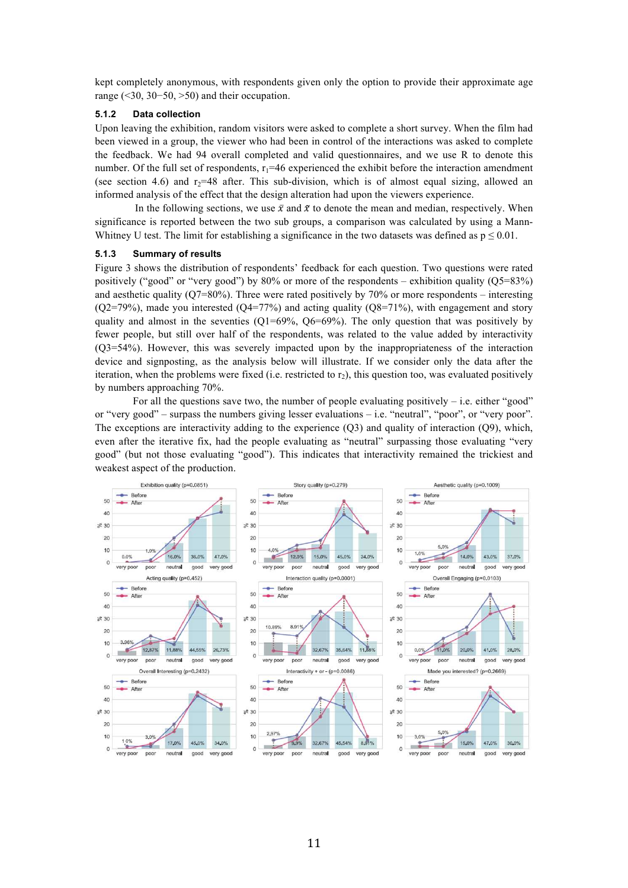kept completely anonymous, with respondents given only the option to provide their approximate age range (<30, 30−50, >50) and their occupation.

#### **5.1.2 Data collection**

Upon leaving the exhibition, random visitors were asked to complete a short survey. When the film had been viewed in a group, the viewer who had been in control of the interactions was asked to complete the feedback. We had 94 overall completed and valid questionnaires, and we use R to denote this number. Of the full set of respondents,  $r_1=46$  experienced the exhibit before the interaction amendment (see section 4.6) and  $r_2=48$  after. This sub-division, which is of almost equal sizing, allowed an informed analysis of the effect that the design alteration had upon the viewers experience.

In the following sections, we use  $\bar{x}$  and  $\tilde{x}$  to denote the mean and median, respectively. When significance is reported between the two sub groups, a comparison was calculated by using a Mann-Whitney U test. The limit for establishing a significance in the two datasets was defined as  $p \le 0.01$ .

#### **5.1.3 Summary of results**

Figure 3 shows the distribution of respondents' feedback for each question. Two questions were rated positively ("good" or "very good") by 80% or more of the respondents – exhibition quality ( $Q5=83\%$ ) and aesthetic quality ( $Q7=80\%$ ). Three were rated positively by 70% or more respondents – interesting  $(Q2=79%)$ , made you interested  $(Q4=77%)$  and acting quality  $(Q8=71%)$ , with engagement and story quality and almost in the seventies  $(Q1=69\% , Q6=69\%)$ . The only question that was positively by fewer people, but still over half of the respondents, was related to the value added by interactivity (Q3=54%). However, this was severely impacted upon by the inappropriateness of the interaction device and signposting, as the analysis below will illustrate. If we consider only the data after the iteration, when the problems were fixed (i.e. restricted to  $r<sub>2</sub>$ ), this question too, was evaluated positively by numbers approaching 70%.

For all the questions save two, the number of people evaluating positively  $-$  i.e. either "good" or "very good" – surpass the numbers giving lesser evaluations – i.e. "neutral", "poor", or "very poor". The exceptions are interactivity adding to the experience  $(Q3)$  and quality of interaction  $(Q9)$ , which, even after the iterative fix, had the people evaluating as "neutral" surpassing those evaluating "very good" (but not those evaluating "good"). This indicates that interactivity remained the trickiest and weakest aspect of the production.

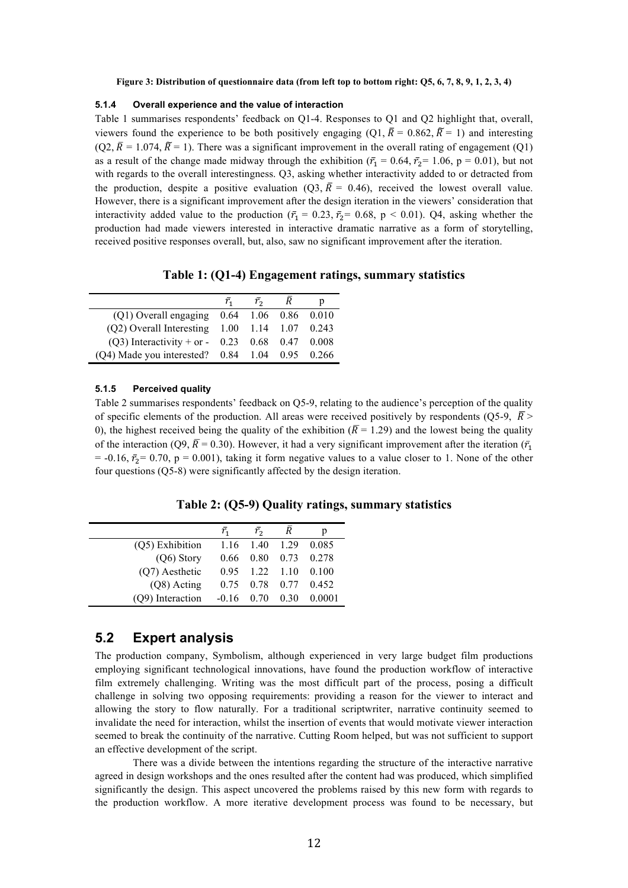#### **Figure 3: Distribution of questionnaire data (from left top to bottom right: Q5, 6, 7, 8, 9, 1, 2, 3, 4)**

#### **5.1.4 Overall experience and the value of interaction**

Table 1 summarises respondents' feedback on Q1-4. Responses to Q1 and Q2 highlight that, overall, viewers found the experience to be both positively engaging (Q1,  $\overline{R} = 0.862$ ,  $\overline{R} = 1$ ) and interesting  $(Q2, \overline{R} = 1.074, \widetilde{R} = 1)$ . There was a significant improvement in the overall rating of engagement  $(Q1)$ as a result of the change made midway through the exhibition ( $\bar{r}_1 = 0.64$ ,  $\bar{r}_2 = 1.06$ , p = 0.01), but not with regards to the overall interestingness. Q3, asking whether interactivity added to or detracted from the production, despite a positive evaluation (Q3,  $\bar{R} = 0.46$ ), received the lowest overall value. However, there is a significant improvement after the design iteration in the viewers' consideration that interactivity added value to the production ( $\bar{r}_1 = 0.23$ ,  $\bar{r}_2 = 0.68$ , p < 0.01). Q4, asking whether the production had made viewers interested in interactive dramatic narrative as a form of storytelling, received positive responses overall, but, also, saw no significant improvement after the iteration.

**Table 1: (Q1-4) Engagement ratings, summary statistics** 

|                                                  | $r_{1}$ | $r_{\rm{2}}$ |  |
|--------------------------------------------------|---------|--------------|--|
| $(Q1)$ Overall engaging $0.64$ 1.06 0.86 0.010   |         |              |  |
| (Q2) Overall Interesting 1.00 1.14 1.07 0.243    |         |              |  |
| (Q3) Interactivity + or - $0.23$ 0.68 0.47 0.008 |         |              |  |
| (Q4) Made you interested? 0.84 1.04 0.95 0.266   |         |              |  |

#### **5.1.5 Perceived quality**

Table 2 summarises respondents' feedback on Q5-9, relating to the audience's perception of the quality of specific elements of the production. All areas were received positively by respondents (Q5-9,  $\bar{R}$  > 0), the highest received being the quality of the exhibition ( $\overline{R}$  = 1.29) and the lowest being the quality of the interaction (Q9,  $\overline{R}$  = 0.30). However, it had a very significant improvement after the iteration ( $\overline{r_1}$ )  $= -0.16$ ,  $\bar{r}_0 = 0.70$ , p = 0.001), taking it form negative values to a value closer to 1. None of the other four questions (Q5-8) were significantly affected by the design iteration.

**Table 2: (Q5-9) Quality ratings, summary statistics** 

|                  | ī.       | $\bar{r}$         | $\overline{R}$ | p               |
|------------------|----------|-------------------|----------------|-----------------|
| (Q5) Exhibition  |          | 1.16 1.40         | 1.29           | 0.085           |
| $(Q6)$ Story     | 0.66     | 0.80              |                | 0.73 0.278      |
| (Q7) Aesthetic   | $0.95 -$ | $1.22 \quad 1.10$ |                | 0.100           |
| $(Q8)$ Acting    | 0.75     |                   |                | 0.78 0.77 0.452 |
| (Q9) Interaction | $-0.16$  | 0.70              | 0.30           | 0.0001          |

#### **5.2 Expert analysis**

The production company, Symbolism, although experienced in very large budget film productions employing significant technological innovations, have found the production workflow of interactive film extremely challenging. Writing was the most difficult part of the process, posing a difficult challenge in solving two opposing requirements: providing a reason for the viewer to interact and allowing the story to flow naturally. For a traditional scriptwriter, narrative continuity seemed to invalidate the need for interaction, whilst the insertion of events that would motivate viewer interaction seemed to break the continuity of the narrative. Cutting Room helped, but was not sufficient to support an effective development of the script.

There was a divide between the intentions regarding the structure of the interactive narrative agreed in design workshops and the ones resulted after the content had was produced, which simplified significantly the design. This aspect uncovered the problems raised by this new form with regards to the production workflow. A more iterative development process was found to be necessary, but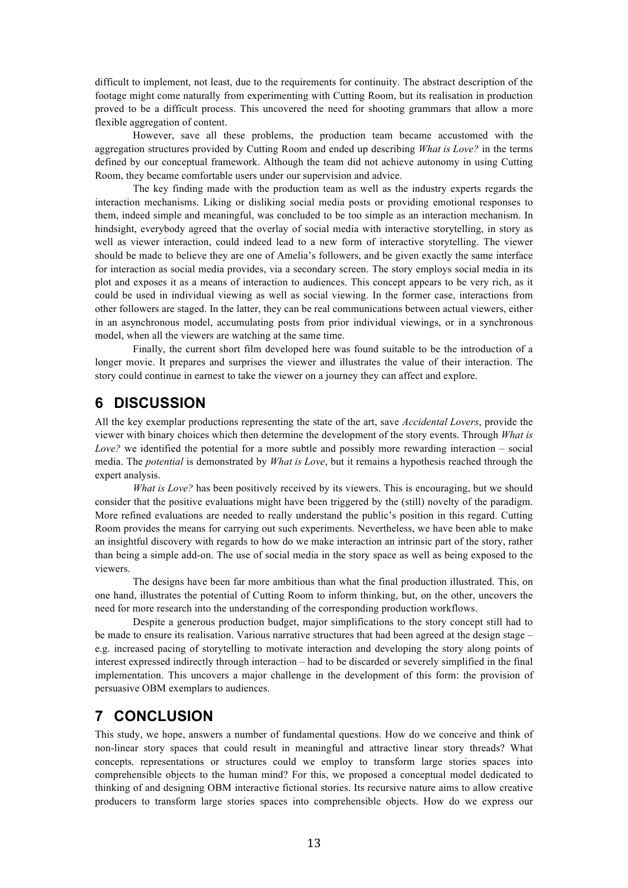difficult to implement, not least, due to the requirements for continuity. The abstract description of the footage might come naturally from experimenting with Cutting Room, but its realisation in production proved to be a difficult process. This uncovered the need for shooting grammars that allow a more flexible aggregation of content.

However, save all these problems, the production team became accustomed with the aggregation structures provided by Cutting Room and ended up describing *What is Love?* in the terms defined by our conceptual framework. Although the team did not achieve autonomy in using Cutting Room, they became comfortable users under our supervision and advice.

The key finding made with the production team as well as the industry experts regards the interaction mechanisms. Liking or disliking social media posts or providing emotional responses to them, indeed simple and meaningful, was concluded to be too simple as an interaction mechanism. In hindsight, everybody agreed that the overlay of social media with interactive storytelling, in story as well as viewer interaction, could indeed lead to a new form of interactive storytelling. The viewer should be made to believe they are one of Amelia's followers, and be given exactly the same interface for interaction as social media provides, via a secondary screen. The story employs social media in its plot and exposes it as a means of interaction to audiences. This concept appears to be very rich, as it could be used in individual viewing as well as social viewing. In the former case, interactions from other followers are staged. In the latter, they can be real communications between actual viewers, either in an asynchronous model, accumulating posts from prior individual viewings, or in a synchronous model, when all the viewers are watching at the same time.

Finally, the current short film developed here was found suitable to be the introduction of a longer movie. It prepares and surprises the viewer and illustrates the value of their interaction. The story could continue in earnest to take the viewer on a journey they can affect and explore.

## **6 DISCUSSION**

All the key exemplar productions representing the state of the art, save *Accidental Lovers*, provide the viewer with binary choices which then determine the development of the story events. Through *What is Love?* we identified the potential for a more subtle and possibly more rewarding interaction – social media. The *potential* is demonstrated by *What is Love*, but it remains a hypothesis reached through the expert analysis.

*What is Love?* has been positively received by its viewers. This is encouraging, but we should consider that the positive evaluations might have been triggered by the (still) novelty of the paradigm. More refined evaluations are needed to really understand the public's position in this regard. Cutting Room provides the means for carrying out such experiments. Nevertheless, we have been able to make an insightful discovery with regards to how do we make interaction an intrinsic part of the story, rather than being a simple add-on. The use of social media in the story space as well as being exposed to the viewers.

The designs have been far more ambitious than what the final production illustrated. This, on one hand, illustrates the potential of Cutting Room to inform thinking, but, on the other, uncovers the need for more research into the understanding of the corresponding production workflows.

Despite a generous production budget, major simplifications to the story concept still had to be made to ensure its realisation. Various narrative structures that had been agreed at the design stage – e.g. increased pacing of storytelling to motivate interaction and developing the story along points of interest expressed indirectly through interaction – had to be discarded or severely simplified in the final implementation. This uncovers a major challenge in the development of this form: the provision of persuasive OBM exemplars to audiences.

## **7 CONCLUSION**

This study, we hope, answers a number of fundamental questions. How do we conceive and think of non-linear story spaces that could result in meaningful and attractive linear story threads? What concepts*,* representations or structures could we employ to transform large stories spaces into comprehensible objects to the human mind? For this, we proposed a conceptual model dedicated to thinking of and designing OBM interactive fictional stories. Its recursive nature aims to allow creative producers to transform large stories spaces into comprehensible objects. How do we express our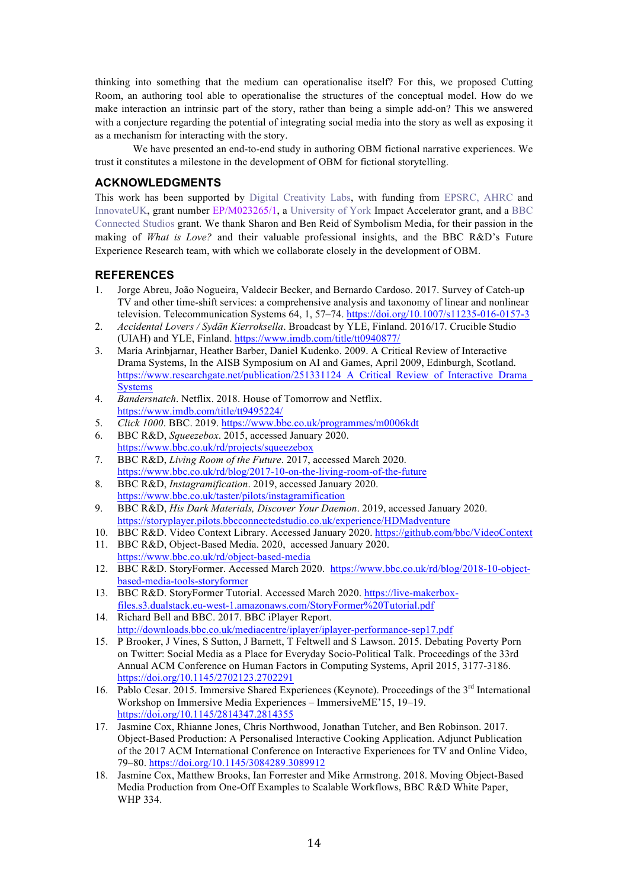thinking into something that the medium can operationalise itself? For this, we proposed Cutting Room, an authoring tool able to operationalise the structures of the conceptual model. How do we make interaction an intrinsic part of the story, rather than being a simple add-on? This we answered with a conjecture regarding the potential of integrating social media into the story as well as exposing it as a mechanism for interacting with the story.

We have presented an end-to-end study in authoring OBM fictional narrative experiences. We trust it constitutes a milestone in the development of OBM for fictional storytelling.

#### **ACKNOWLEDGMENTS**

This work has been supported by Digital Creativity Labs, with funding from EPSRC, AHRC and InnovateUK, grant number EP/M023265/1, a University of York Impact Accelerator grant, and a BBC Connected Studios grant. We thank Sharon and Ben Reid of Symbolism Media, for their passion in the making of *What is Love?* and their valuable professional insights, and the BBC R&D's Future Experience Research team, with which we collaborate closely in the development of OBM.

#### **REFERENCES**

- 1. Jorge Abreu, João Nogueira, Valdecir Becker, and Bernardo Cardoso. 2017. Survey of Catch-up TV and other time-shift services: a comprehensive analysis and taxonomy of linear and nonlinear television. Telecommunication Systems 64, 1, 57–74. https://doi.org/10.1007/s11235-016-0157-3
- 2. *Accidental Lovers / Sydän Kierroksella*. Broadcast by YLE, Finland. 2016/17. Crucible Studio (UIAH) and YLE, Finland. https://www.imdb.com/title/tt0940877/
- 3. María Arinbjarnar, Heather Barber, Daniel Kudenko. 2009. A Critical Review of Interactive Drama Systems, In the AISB Symposium on AI and Games, April 2009, Edinburgh, Scotland. https://www.researchgate.net/publication/251331124\_A\_Critical\_Review\_of\_Interactive\_Drama **Systems**
- 4. *Bandersnatch*. Netflix. 2018. House of Tomorrow and Netflix. https://www.imdb.com/title/tt9495224/
- 5. *Click 1000*. BBC. 2019. https://www.bbc.co.uk/programmes/m0006kdt
- 6. BBC R&D, *Squeezebox*. 2015, accessed January 2020. https://www.bbc.co.uk/rd/projects/squeezebox
- 7. BBC R&D, *Living Room of the Future*. 2017, accessed March 2020. https://www.bbc.co.uk/rd/blog/2017-10-on-the-living-room-of-the-future
- 8. BBC R&D, *Instagramification*. 2019, accessed January 2020. https://www.bbc.co.uk/taster/pilots/instagramification
- 9. BBC R&D, *His Dark Materials, Discover Your Daemon*. 2019, accessed January 2020. https://storyplayer.pilots.bbcconnectedstudio.co.uk/experience/HDMadventure
- 10. BBC R&D. Video Context Library. Accessed January 2020. https://github.com/bbc/VideoContext
- 11. BBC R&D, Object-Based Media. 2020, accessed January 2020. https://www.bbc.co.uk/rd/object-based-media
- 12. BBC R&D. StoryFormer. Accessed March 2020. https://www.bbc.co.uk/rd/blog/2018-10-objectbased-media-tools-storyformer
- 13. BBC R&D. StoryFormer Tutorial. Accessed March 2020. https://live-makerboxfiles.s3.dualstack.eu-west-1.amazonaws.com/StoryFormer%20Tutorial.pdf
- 14. Richard Bell and BBC. 2017. BBC iPlayer Report. http://downloads.bbc.co.uk/mediacentre/iplayer/iplayer-performance-sep17.pdf
- 15. P Brooker, J Vines, S Sutton, J Barnett, T Feltwell and S Lawson. 2015. Debating Poverty Porn on Twitter: Social Media as a Place for Everyday Socio-Political Talk. Proceedings of the 33rd Annual ACM Conference on Human Factors in Computing Systems, April 2015, 3177-3186. https://doi.org/10.1145/2702123.2702291
- 16. Pablo Cesar. 2015. Immersive Shared Experiences (Keynote). Proceedings of the 3<sup>rd</sup> International Workshop on Immersive Media Experiences – ImmersiveME'15, 19–19. https://doi.org/10.1145/2814347.2814355
- 17. Jasmine Cox, Rhianne Jones, Chris Northwood, Jonathan Tutcher, and Ben Robinson. 2017. Object-Based Production: A Personalised Interactive Cooking Application. Adjunct Publication of the 2017 ACM International Conference on Interactive Experiences for TV and Online Video, 79–80. https://doi.org/10.1145/3084289.3089912
- 18. Jasmine Cox, Matthew Brooks, Ian Forrester and Mike Armstrong. 2018. Moving Object-Based Media Production from One-Off Examples to Scalable Workflows, BBC R&D White Paper, WHP 334.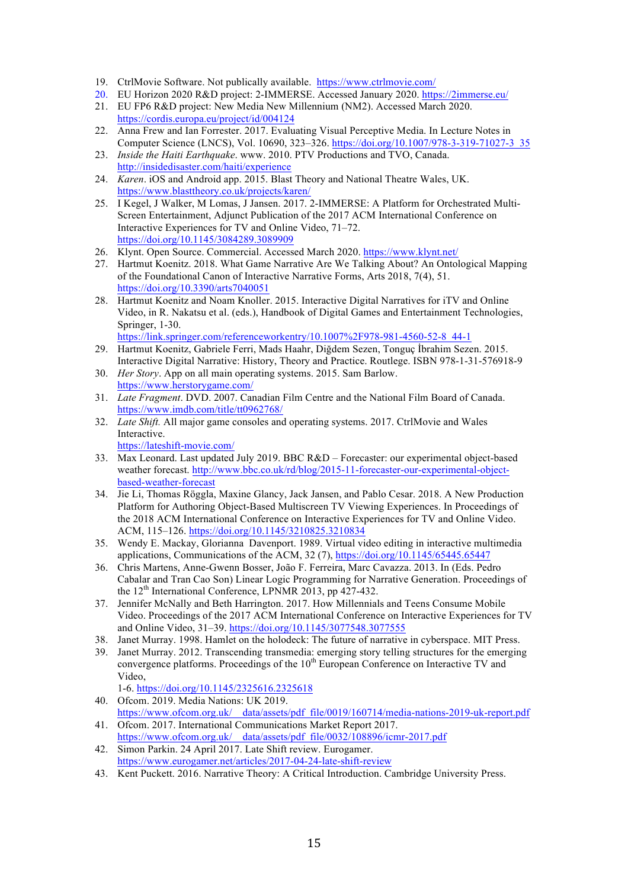- 19. CtrlMovie Software. Not publically available. https://www.ctrlmovie.com/
- 20. EU Horizon 2020 R&D project: 2-IMMERSE. Accessed January 2020. https://2immerse.eu/
- 21. EU FP6 R&D project: New Media New Millennium (NM2). Accessed March 2020. https://cordis.europa.eu/project/id/004124
- 22. Anna Frew and Ian Forrester. 2017. Evaluating Visual Perceptive Media. In Lecture Notes in Computer Science (LNCS), Vol. 10690, 323–326. https://doi.org/10.1007/978-3-319-71027-3\_35
- 23. *Inside the Haiti Earthquake*. www. 2010. PTV Productions and TVO, Canada. http://insidedisaster.com/haiti/experience
- 24. *Karen*. iOS and Android app. 2015. Blast Theory and National Theatre Wales, UK. https://www.blasttheory.co.uk/projects/karen/
- 25. I Kegel, J Walker, M Lomas, J Jansen. 2017. 2-IMMERSE: A Platform for Orchestrated Multi-Screen Entertainment, Adjunct Publication of the 2017 ACM International Conference on Interactive Experiences for TV and Online Video, 71–72. https://doi.org/10.1145/3084289.3089909
- 26. Klynt. Open Source. Commercial. Accessed March 2020. https://www.klynt.net/
- 27. Hartmut Koenitz. 2018. What Game Narrative Are We Talking About? An Ontological Mapping of the Foundational Canon of Interactive Narrative Forms, Arts 2018, 7(4), 51. https://doi.org/10.3390/arts7040051
- 28. Hartmut Koenitz and Noam Knoller. 2015. Interactive Digital Narratives for iTV and Online Video, in R. Nakatsu et al. (eds.), Handbook of Digital Games and Entertainment Technologies, Springer, 1-30.

https://link.springer.com/referenceworkentry/10.1007%2F978-981-4560-52-8\_44-1

- 29. Hartmut Koenitz, Gabriele Ferri, Mads Haahr, Diğdem Sezen, Tonguç İbrahim Sezen. 2015. Interactive Digital Narrative: History, Theory and Practice. Routlege. ISBN 978-1-31-576918-9
- 30. *Her Story*. App on all main operating systems. 2015. Sam Barlow. https://www.herstorygame.com/
- 31. *Late Fragment*. DVD. 2007. Canadian Film Centre and the National Film Board of Canada. https://www.imdb.com/title/tt0962768/
- 32. *Late Shift.* All major game consoles and operating systems. 2017. CtrlMovie and Wales Interactive.

https://lateshift-movie.com/

- 33. Max Leonard. Last updated July 2019. BBC R&D Forecaster: our experimental object-based weather forecast. http://www.bbc.co.uk/rd/blog/2015-11-forecaster-our-experimental-objectbased-weather-forecast
- 34. Jie Li, Thomas Röggla, Maxine Glancy, Jack Jansen, and Pablo Cesar. 2018. A New Production Platform for Authoring Object-Based Multiscreen TV Viewing Experiences. In Proceedings of the 2018 ACM International Conference on Interactive Experiences for TV and Online Video. ACM, 115–126. https://doi.org/10.1145/3210825.3210834
- 35. Wendy E. Mackay, Glorianna Davenport. 1989. Virtual video editing in interactive multimedia applications, Communications of the ACM, 32 (7), https://doi.org/10.1145/65445.65447
- 36. Chris Martens, Anne-Gwenn Bosser, João F. Ferreira, Marc Cavazza. 2013. In (Eds. Pedro Cabalar and Tran Cao Son) Linear Logic Programming for Narrative Generation. Proceedings of the 12<sup>th</sup> International Conference, LPNMR 2013, pp 427-432.
- 37. Jennifer McNally and Beth Harrington. 2017. How Millennials and Teens Consume Mobile Video. Proceedings of the 2017 ACM International Conference on Interactive Experiences for TV and Online Video, 31–39. https://doi.org/10.1145/3077548.3077555
- 38. Janet Murray. 1998. Hamlet on the holodeck: The future of narrative in cyberspace. MIT Press.
- 39. Janet Murray. 2012. Transcending transmedia: emerging story telling structures for the emerging convergence platforms. Proceedings of the  $10<sup>th</sup>$  European Conference on Interactive TV and Video,

1-6. https://doi.org/10.1145/2325616.2325618

- 40. Ofcom. 2019. Media Nations: UK 2019. https://www.ofcom.org.uk/\_\_data/assets/pdf\_file/0019/160714/media-nations-2019-uk-report.pdf
- 41. Ofcom. 2017. International Communications Market Report 2017. https://www.ofcom.org.uk/\_\_data/assets/pdf\_file/0032/108896/icmr-2017.pdf
- 42. Simon Parkin. 24 April 2017. Late Shift review. Eurogamer. https://www.eurogamer.net/articles/2017-04-24-late-shift-review
- 43. Kent Puckett. 2016. Narrative Theory: A Critical Introduction. Cambridge University Press.